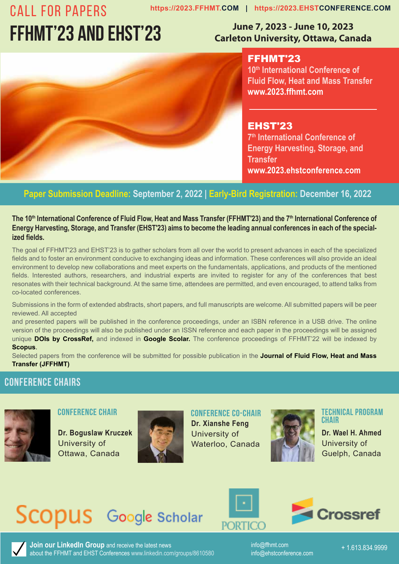# **FFHMT'23 ANd EHST'23**

### **June 7, 2023 - June 10, 2023 Carleton University, Ottawa, Canada**



FFHMT'23 **10th International Conference of 6th International Conference of Fluid Flow, Heat and Mass Transfer Fluid Heat and Mass Transfer www.2023.ffhmt.com www.fhmt.com**

EHST'23 **7th International Conference of 3rd International Conference of Energy Harvesting, Storage, and Energy Harvesting, Storage, and Transfer Transfer** 

### **Paper Submission Deadline: September 2, 2022 | Early-Bird Registration: December 16, 2022**

### The 10th International Conference of Fluid Flow, Heat and Mass Transfer (FFHMT'23) and the 7th International Conference of Energy Harvesting, Storage, and Transfer (EHST'23) aims to become the leading annual conferences in each of the special**ized fields. ized fields.**

The goal of FFHMT'23 and EHST'23 is to gather scholars from all over the world to present advances in each of the specialized fields and to foster an environment conducive to exchanging ideas and information. These conferences will also provide an ideal environment to develop new collaborations and meet experts on the fundamentals, applications, and products of the mentioned fields. Interested authors, researchers, and industrial experts are invited to register for any of the conferences that best fields. Interested authors, researchers, and industrial experts are invited to register for any of the conferences that best<br>resonates with their technical background. At the same time, attendees are permitted, and even en co-located conferences. co-located conferences.

Submissions in the form of extended abstracts, short papers, and full manuscripts are welcome. All submitted papers will be peer reviewed. All accepted reviewed. All accepted

and presented papers will be published in the conference proceedings, under an ISBN reference in a USB drive. The online version of the proceedings will also be published under an ISSN reference and each paper in the proceedings will be assigned unique **DOIs by CrossRef,** and indexed in **Google Scolar.** The conference proceedings of FFHMT'22 will be indexed by **Scopus**. **Scopus**.

Selected papers from the conference will be submitted for possible publication in the **Journal of Fluid Flow, Heat and Mass Transfer (JFFHMT) CONFERENCE CHAIR** 

### **Conference Chairs Dr. Boguslaw Kruczek** University of Ottawa,



**Conference Chair**

**Dr. Boguslaw Kruczek** University of Ottawa, Canada



**Conference Co-Chair**

**Dr. Xianshe Feng** University of Waterloo, Canada



**Technical Program Chair**

**Dr. Wael H. Ahmed** University of Guelph, Canada

## Scopus Google Scholar





Join our LinkedIn Group and receive the latest news info@ffhmt.com + 1.613.834.9999 about the FFHMT and EHST Conferences www.linkedin.com/groups/8610580

+ 1.613.834.9999 info@ffhmt.com info@ehstconference.com